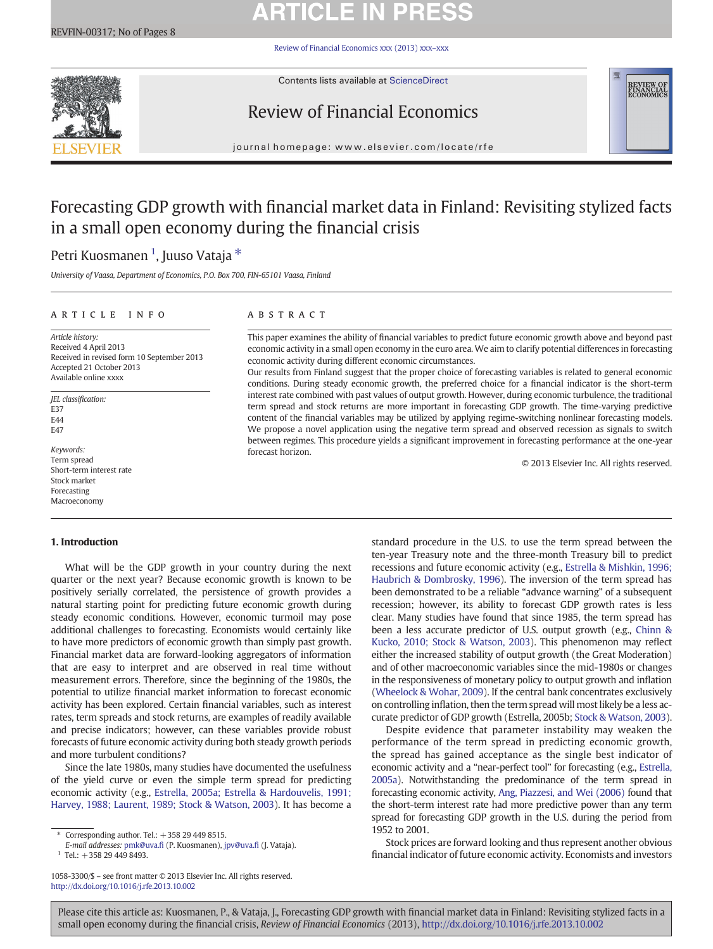# **ARTICLE IN PRESS**

[Review of Financial Economics xxx \(2013\) xxx](http://dx.doi.org/10.1016/j.rfe.2013.10.002)–xxx



Contents lists available at ScienceDirect

# Review of Financial Economics

REVIEW OF<br>FINANCIAL

journal homepage: www.elsevier.com/locate/rfe

# Forecasting GDP growth with financial market data in Finland: Revisiting stylized facts in a small open economy during the financial crisis

## Petri Kuosmanen <sup>1</sup>, Juuso Vataja \*

University of Vaasa, Department of Economics, P.O. Box 700, FIN-65101 Vaasa, Finland

## article info abstract

Article history: Received 4 April 2013 Received in revised form 10 September 2013 Accepted 21 October 2013 Available online xxxx

JEL classification: E37 E44 E47

Keywords: Term spread Short-term interest rate Stock market Forecasting Macroeconomy

### 1. Introduction

What will be the GDP growth in your country during the next quarter or the next year? Because economic growth is known to be positively serially correlated, the persistence of growth provides a natural starting point for predicting future economic growth during steady economic conditions. However, economic turmoil may pose additional challenges to forecasting. Economists would certainly like to have more predictors of economic growth than simply past growth. Financial market data are forward-looking aggregators of information that are easy to interpret and are observed in real time without measurement errors. Therefore, since the beginning of the 1980s, the potential to utilize financial market information to forecast economic activity has been explored. Certain financial variables, such as interest rates, term spreads and stock returns, are examples of readily available and precise indicators; however, can these variables provide robust forecasts of future economic activity during both steady growth periods and more turbulent conditions?

Since the late 1980s, many studies have documented the usefulness of the yield curve or even the simple term spread for predicting economic activity (e.g., [Estrella, 2005a; Estrella & Hardouvelis, 1991;](#page--1-0) [Harvey, 1988; Laurent, 1989; Stock & Watson, 2003](#page--1-0)). It has become a

E-mail addresses: [pmk@uva.](mailto:pmk@uva.fi)fi (P. Kuosmanen), [jpv@uva.](mailto:jpv@uva.fi)fi (J. Vataja).

Tel.:  $+358$  29 449 8493.

1058-3300/\$ – see front matter © 2013 Elsevier Inc. All rights reserved. <http://dx.doi.org/10.1016/j.rfe.2013.10.002>

This paper examines the ability of financial variables to predict future economic growth above and beyond past economic activity in a small open economy in the euro area. We aim to clarify potential differences in forecasting economic activity during different economic circumstances.

Our results from Finland suggest that the proper choice of forecasting variables is related to general economic conditions. During steady economic growth, the preferred choice for a financial indicator is the short-term interest rate combined with past values of output growth. However, during economic turbulence, the traditional term spread and stock returns are more important in forecasting GDP growth. The time-varying predictive content of the financial variables may be utilized by applying regime-switching nonlinear forecasting models. We propose a novel application using the negative term spread and observed recession as signals to switch between regimes. This procedure yields a significant improvement in forecasting performance at the one-year forecast horizon.

© 2013 Elsevier Inc. All rights reserved.

standard procedure in the U.S. to use the term spread between the ten-year Treasury note and the three-month Treasury bill to predict recessions and future economic activity (e.g., [Estrella & Mishkin, 1996;](#page--1-0) [Haubrich & Dombrosky, 1996\)](#page--1-0). The inversion of the term spread has been demonstrated to be a reliable "advance warning" of a subsequent recession; however, its ability to forecast GDP growth rates is less clear. Many studies have found that since 1985, the term spread has been a less accurate predictor of U.S. output growth (e.g., [Chinn &](#page--1-0) [Kucko, 2010; Stock & Watson, 2003](#page--1-0)). This phenomenon may reflect either the increased stability of output growth (the Great Moderation) and of other macroeconomic variables since the mid-1980s or changes in the responsiveness of monetary policy to output growth and inflation [\(Wheelock & Wohar, 2009\)](#page--1-0). If the central bank concentrates exclusively on controlling inflation, then the term spread will most likely be a less accurate predictor of GDP growth (Estrella, 2005b; [Stock & Watson, 2003](#page--1-0)).

Despite evidence that parameter instability may weaken the performance of the term spread in predicting economic growth, the spread has gained acceptance as the single best indicator of economic activity and a "near-perfect tool" for forecasting (e.g., [Estrella,](#page--1-0) [2005a\)](#page--1-0). Notwithstanding the predominance of the term spread in forecasting economic activity, [Ang, Piazzesi, and Wei \(2006\)](#page--1-0) found that the short-term interest rate had more predictive power than any term spread for forecasting GDP growth in the U.S. during the period from 1952 to 2001.

Stock prices are forward looking and thus represent another obvious financial indicator of future economic activity. Economists and investors

Please cite this article as: Kuosmanen, P., & Vataja, J., Forecasting GDP growth with financial market data in Finland: Revisiting stylized facts in a small open economy during the financial crisis, Review of Financial Economics (2013), <http://dx.doi.org/10.1016/j.rfe.2013.10.002>

<sup>⁎</sup> Corresponding author. Tel.: +358 29 449 8515.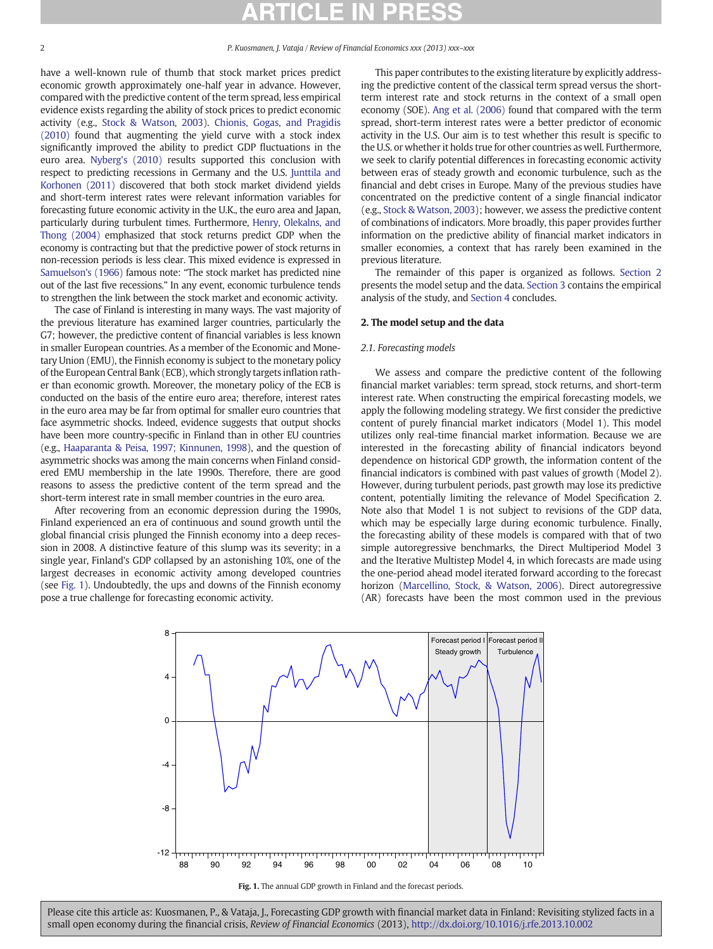## 2 P. Kuosmanen, J. Vataja / Review of Financial Economics xxx (2013) xxx–xxx

have a well-known rule of thumb that stock market prices predict economic growth approximately one-half year in advance. However, compared with the predictive content of the term spread, less empirical evidence exists regarding the ability of stock prices to predict economic activity (e.g., [Stock & Watson, 2003\)](#page--1-0). [Chionis, Gogas, and Pragidis](#page--1-0) [\(2010\)](#page--1-0) found that augmenting the yield curve with a stock index significantly improved the ability to predict GDP fluctuations in the euro area. [Nyberg's \(2010\)](#page--1-0) results supported this conclusion with respect to predicting recessions in Germany and the U.S. [Junttila and](#page--1-0) [Korhonen \(2011\)](#page--1-0) discovered that both stock market dividend yields and short-term interest rates were relevant information variables for forecasting future economic activity in the U.K., the euro area and Japan, particularly during turbulent times. Furthermore, [Henry, Olekalns, and](#page--1-0) [Thong \(2004\)](#page--1-0) emphasized that stock returns predict GDP when the economy is contracting but that the predictive power of stock returns in non-recession periods is less clear. This mixed evidence is expressed in [Samuelson's \(1966\)](#page--1-0) famous note: "The stock market has predicted nine out of the last five recessions." In any event, economic turbulence tends to strengthen the link between the stock market and economic activity.

The case of Finland is interesting in many ways. The vast majority of the previous literature has examined larger countries, particularly the G7; however, the predictive content of financial variables is less known in smaller European countries. As a member of the Economic and Monetary Union (EMU), the Finnish economy is subject to the monetary policy of the European Central Bank (ECB), which strongly targets inflation rather than economic growth. Moreover, the monetary policy of the ECB is conducted on the basis of the entire euro area; therefore, interest rates in the euro area may be far from optimal for smaller euro countries that face asymmetric shocks. Indeed, evidence suggests that output shocks have been more country-specific in Finland than in other EU countries (e.g., [Haaparanta & Peisa, 1997; Kinnunen, 1998](#page--1-0)), and the question of asymmetric shocks was among the main concerns when Finland considered EMU membership in the late 1990s. Therefore, there are good reasons to assess the predictive content of the term spread and the short-term interest rate in small member countries in the euro area.

After recovering from an economic depression during the 1990s, Finland experienced an era of continuous and sound growth until the global financial crisis plunged the Finnish economy into a deep recession in 2008. A distinctive feature of this slump was its severity; in a single year, Finland's GDP collapsed by an astonishing 10%, one of the largest decreases in economic activity among developed countries (see Fig. 1). Undoubtedly, the ups and downs of the Finnish economy pose a true challenge for forecasting economic activity.

This paper contributes to the existing literature by explicitly addressing the predictive content of the classical term spread versus the shortterm interest rate and stock returns in the context of a small open economy (SOE). [Ang et al. \(2006\)](#page--1-0) found that compared with the term spread, short-term interest rates were a better predictor of economic activity in the U.S. Our aim is to test whether this result is specific to the U.S. or whether it holds true for other countries as well. Furthermore, we seek to clarify potential differences in forecasting economic activity between eras of steady growth and economic turbulence, such as the financial and debt crises in Europe. Many of the previous studies have concentrated on the predictive content of a single financial indicator (e.g., [Stock & Watson, 2003\)](#page--1-0); however, we assess the predictive content of combinations of indicators. More broadly, this paper provides further information on the predictive ability of financial market indicators in smaller economies, a context that has rarely been examined in the previous literature.

The remainder of this paper is organized as follows. Section 2 presents the model setup and the data. [Section 3](#page--1-0) contains the empirical analysis of the study, and [Section 4](#page--1-0) concludes.

## 2. The model setup and the data

## 2.1. Forecasting models

We assess and compare the predictive content of the following financial market variables: term spread, stock returns, and short-term interest rate. When constructing the empirical forecasting models, we apply the following modeling strategy. We first consider the predictive content of purely financial market indicators (Model 1). This model utilizes only real-time financial market information. Because we are interested in the forecasting ability of financial indicators beyond dependence on historical GDP growth, the information content of the financial indicators is combined with past values of growth (Model 2). However, during turbulent periods, past growth may lose its predictive content, potentially limiting the relevance of Model Specification 2. Note also that Model 1 is not subject to revisions of the GDP data, which may be especially large during economic turbulence. Finally, the forecasting ability of these models is compared with that of two simple autoregressive benchmarks, the Direct Multiperiod Model 3 and the Iterative Multistep Model 4, in which forecasts are made using the one-period ahead model iterated forward according to the forecast horizon ([Marcellino, Stock, & Watson, 2006](#page--1-0)). Direct autoregressive (AR) forecasts have been the most common used in the previous



Fig. 1. The annual GDP growth in Finland and the forecast periods.

Please cite this article as: Kuosmanen, P., & Vataja, J., Forecasting GDP growth with financial market data in Finland: Revisiting stylized facts in a small open economy during the financial crisis, Review of Financial Economics (2013), <http://dx.doi.org/10.1016/j.rfe.2013.10.002>